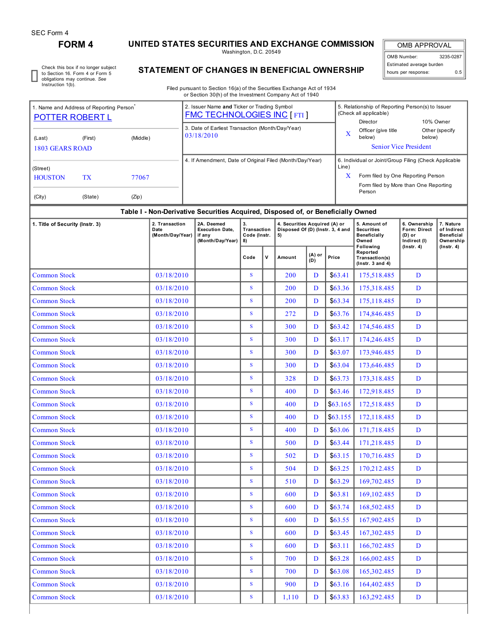I

# **FORM 4 UNITED STATES SECURITIES AND EXCHANGE COMMISSION**

Washington, D.C. 20549

OMB APPROVAL OMB Number: 3235-0287 Estimated average burden hours per response: 0.5

Check this box if no longer subject to Section 16. Form 4 or Form 5 obligations may continue. *See* Instruction 1(b).

# **STATEMENT OF CHANGES IN BENEFICIAL OWNERSHIP**

Filed pursuant to Section 16(a) of the Securities Exchange Act of 1934 or Section 30(h) of the Investment Company Act of 1940

| <b>POTTER ROBERT L</b>                           | 1. Name and Address of Reporting Person |  | 2. Issuer Name and Ticker or Trading Symbol<br><b>FMC TECHNOLOGIES INC [FTI]</b> |                                                                                                                                                              | 5. Relationship of Reporting Person(s) to Issuer<br>(Check all applicable)<br>Director | 10% Owner                |  |  |
|--------------------------------------------------|-----------------------------------------|--|----------------------------------------------------------------------------------|--------------------------------------------------------------------------------------------------------------------------------------------------------------|----------------------------------------------------------------------------------------|--------------------------|--|--|
| (Middle)<br>(First)<br>(Last)<br>1803 GEARS ROAD |                                         |  | 3. Date of Earliest Transaction (Month/Day/Year)<br>03/18/2010                   | X                                                                                                                                                            | Officer (give title<br>below)<br><b>Senior Vice President</b>                          | Other (specify<br>below) |  |  |
| (Street)<br><b>HOUSTON</b><br>(City)             | TX<br>77067<br>(Zip)<br>(State)         |  | 4. If Amendment, Date of Original Filed (Month/Day/Year)                         | 6. Individual or Joint/Group Filing (Check Applicable<br>Line)<br>X<br>Form filed by One Reporting Person<br>Form filed by More than One Reporting<br>Person |                                                                                        |                          |  |  |

## **Table I - Non-Derivative Securities Acquired, Disposed of, or Beneficially Owned**

| 1. Title of Security (Instr. 3) | 2. Transaction<br>Date<br>(Month/Day/Year) | 2A. Deemed<br><b>Execution Date,</b><br>if any<br>(Month/Day/Year) | 3.<br>Transaction<br>Code (Instr.<br>8) |             | 4. Securities Acquired (A) or<br>Disposed Of (D) (Instr. 3, 4 and<br>5) |               |          | 5. Amount of<br><b>Securities</b><br><b>Beneficially</b><br>Owned  | 6. Ownership<br>Form: Direct<br>(D) or<br>Indirect (I) | 7. Nature<br>of Indirect<br><b>Beneficial</b><br>Ownership |  |
|---------------------------------|--------------------------------------------|--------------------------------------------------------------------|-----------------------------------------|-------------|-------------------------------------------------------------------------|---------------|----------|--------------------------------------------------------------------|--------------------------------------------------------|------------------------------------------------------------|--|
|                                 |                                            |                                                                    | Code                                    | $\mathbf v$ | Amount                                                                  | (A) or<br>(D) | Price    | Following<br>Reported<br>Transaction(s)<br>$($ Instr. $3$ and $4)$ | $($ Instr. 4 $)$                                       | $($ Instr. 4 $)$                                           |  |
| <b>Common Stock</b>             | 03/18/2010                                 |                                                                    | $\mathbf S$                             |             | 200                                                                     | D             | \$63.41  | 175,518.485                                                        | D                                                      |                                                            |  |
| <b>Common Stock</b>             | 03/18/2010                                 |                                                                    | S                                       |             | 200                                                                     | D             | \$63.36  | 175,318.485                                                        | D                                                      |                                                            |  |
| <b>Common Stock</b>             | 03/18/2010                                 |                                                                    | S                                       |             | 200                                                                     | D             | \$63.34  | 175, 118. 485                                                      | D                                                      |                                                            |  |
| <b>Common Stock</b>             | 03/18/2010                                 |                                                                    | S                                       |             | 272                                                                     | D             | \$63.76  | 174,846.485                                                        | D                                                      |                                                            |  |
| <b>Common Stock</b>             | 03/18/2010                                 |                                                                    | S                                       |             | 300                                                                     | D             | \$63.42  | 174,546.485                                                        | D                                                      |                                                            |  |
| <b>Common Stock</b>             | 03/18/2010                                 |                                                                    | $\mathbf S$                             |             | 300                                                                     | D             | \$63.17  | 174,246.485                                                        | D                                                      |                                                            |  |
| <b>Common Stock</b>             | 03/18/2010                                 |                                                                    | S                                       |             | 300                                                                     | D             | \$63.07  | 173,946.485                                                        | D                                                      |                                                            |  |
| <b>Common Stock</b>             | 03/18/2010                                 |                                                                    | $\mathbf S$                             |             | 300                                                                     | D             | \$63.04  | 173,646.485                                                        | D                                                      |                                                            |  |
| <b>Common Stock</b>             | 03/18/2010                                 |                                                                    | S                                       |             | 328                                                                     | D             | \$63.73  | 173,318.485                                                        | D                                                      |                                                            |  |
| <b>Common Stock</b>             | 03/18/2010                                 |                                                                    | $\overline{\mathbf{S}}$                 |             | 400                                                                     | D             | \$63.46  | 172,918.485                                                        | D                                                      |                                                            |  |
| <b>Common Stock</b>             | 03/18/2010                                 |                                                                    | S                                       |             | 400                                                                     | D             | \$63.165 | 172,518.485                                                        | D                                                      |                                                            |  |
| <b>Common Stock</b>             | 03/18/2010                                 |                                                                    | S                                       |             | 400                                                                     | D             | \$63.155 | 172,118.485                                                        | D                                                      |                                                            |  |
| <b>Common Stock</b>             | 03/18/2010                                 |                                                                    | $\mathbf S$                             |             | 400                                                                     | D             | \$63.06  | 171,718.485                                                        | D                                                      |                                                            |  |
| <b>Common Stock</b>             | 03/18/2010                                 |                                                                    | $\overline{\mathbf{S}}$                 |             | 500                                                                     | D             | \$63.44  | 171,218.485                                                        | D                                                      |                                                            |  |
| <b>Common Stock</b>             | 03/18/2010                                 |                                                                    | S                                       |             | 502                                                                     | D             | \$63.15  | 170,716.485                                                        | D                                                      |                                                            |  |
| <b>Common Stock</b>             | 03/18/2010                                 |                                                                    | S                                       |             | 504                                                                     | D             | \$63.25  | 170,212.485                                                        | D                                                      |                                                            |  |
| <b>Common Stock</b>             | 03/18/2010                                 |                                                                    | S                                       |             | 510                                                                     | D             | \$63.29  | 169,702.485                                                        | D                                                      |                                                            |  |
| <b>Common Stock</b>             | 03/18/2010                                 |                                                                    | $\mathbf S$                             |             | 600                                                                     | D             | \$63.81  | 169, 102. 485                                                      | D                                                      |                                                            |  |
| <b>Common Stock</b>             | 03/18/2010                                 |                                                                    | S                                       |             | 600                                                                     | D             | \$63.74  | 168,502.485                                                        | D                                                      |                                                            |  |
| <b>Common Stock</b>             | 03/18/2010                                 |                                                                    | $\overline{\mathbf{s}}$                 |             | 600                                                                     | D             | \$63.55  | 167,902.485                                                        | D                                                      |                                                            |  |
| <b>Common Stock</b>             | 03/18/2010                                 |                                                                    | S                                       |             | 600                                                                     | D             | \$63.45  | 167,302.485                                                        | D                                                      |                                                            |  |
| <b>Common Stock</b>             | 03/18/2010                                 |                                                                    | S                                       |             | 600                                                                     | D             | \$63.11  | 166,702.485                                                        | D                                                      |                                                            |  |
| <b>Common Stock</b>             | 03/18/2010                                 |                                                                    | S                                       |             | 700                                                                     | D             | \$63.28  | 166,002.485                                                        | D                                                      |                                                            |  |
| <b>Common Stock</b>             | 03/18/2010                                 |                                                                    | $\overline{\mathbf{S}}$                 |             | 700                                                                     | D             | \$63.08  | 165,302.485                                                        | D                                                      |                                                            |  |
| <b>Common Stock</b>             | 03/18/2010                                 |                                                                    | S                                       |             | 900                                                                     | D             | \$63.16  | 164,402.485                                                        | D                                                      |                                                            |  |
| <b>Common Stock</b>             | 03/18/2010                                 |                                                                    | S                                       |             | 1,110                                                                   | D             | \$63.83  | 163,292.485                                                        | D                                                      |                                                            |  |